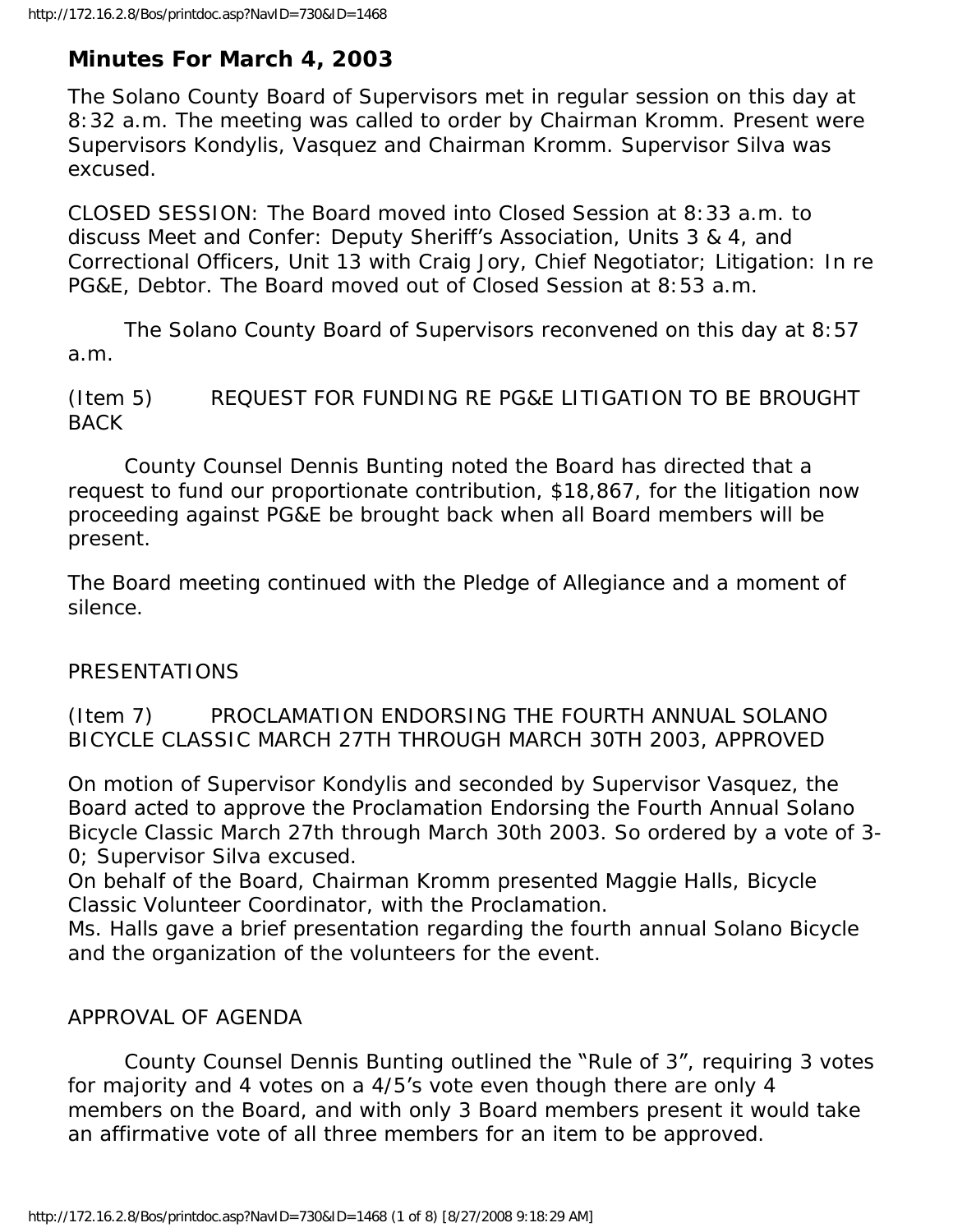# **Minutes For March 4, 2003**

The Solano County Board of Supervisors met in regular session on this day at 8:32 a.m. The meeting was called to order by Chairman Kromm. Present were Supervisors Kondylis, Vasquez and Chairman Kromm. Supervisor Silva was excused.

CLOSED SESSION: The Board moved into Closed Session at 8:33 a.m. to discuss Meet and Confer: Deputy Sheriff's Association, Units 3 & 4, and Correctional Officers, Unit 13 with Craig Jory, Chief Negotiator; Litigation: In re PG&E, Debtor. The Board moved out of Closed Session at 8:53 a.m.

 The Solano County Board of Supervisors reconvened on this day at 8:57 a.m.

(Item 5) REQUEST FOR FUNDING RE PG&E LITIGATION TO BE BROUGHT BACK

 County Counsel Dennis Bunting noted the Board has directed that a request to fund our proportionate contribution, \$18,867, for the litigation now proceeding against PG&E be brought back when all Board members will be present.

The Board meeting continued with the Pledge of Allegiance and a moment of silence.

## PRESENTATIONS

### (Item 7) PROCLAMATION ENDORSING THE FOURTH ANNUAL SOLANO BICYCLE CLASSIC MARCH 27TH THROUGH MARCH 30TH 2003, APPROVED

On motion of Supervisor Kondylis and seconded by Supervisor Vasquez, the Board acted to approve the Proclamation Endorsing the Fourth Annual Solano Bicycle Classic March 27th through March 30th 2003. So ordered by a vote of 3- 0; Supervisor Silva excused.

On behalf of the Board, Chairman Kromm presented Maggie Halls, Bicycle Classic Volunteer Coordinator, with the Proclamation.

Ms. Halls gave a brief presentation regarding the fourth annual Solano Bicycle and the organization of the volunteers for the event.

## APPROVAL OF AGENDA

 County Counsel Dennis Bunting outlined the "Rule of 3", requiring 3 votes for majority and 4 votes on a 4/5's vote even though there are only 4 members on the Board, and with only 3 Board members present it would take an affirmative vote of all three members for an item to be approved.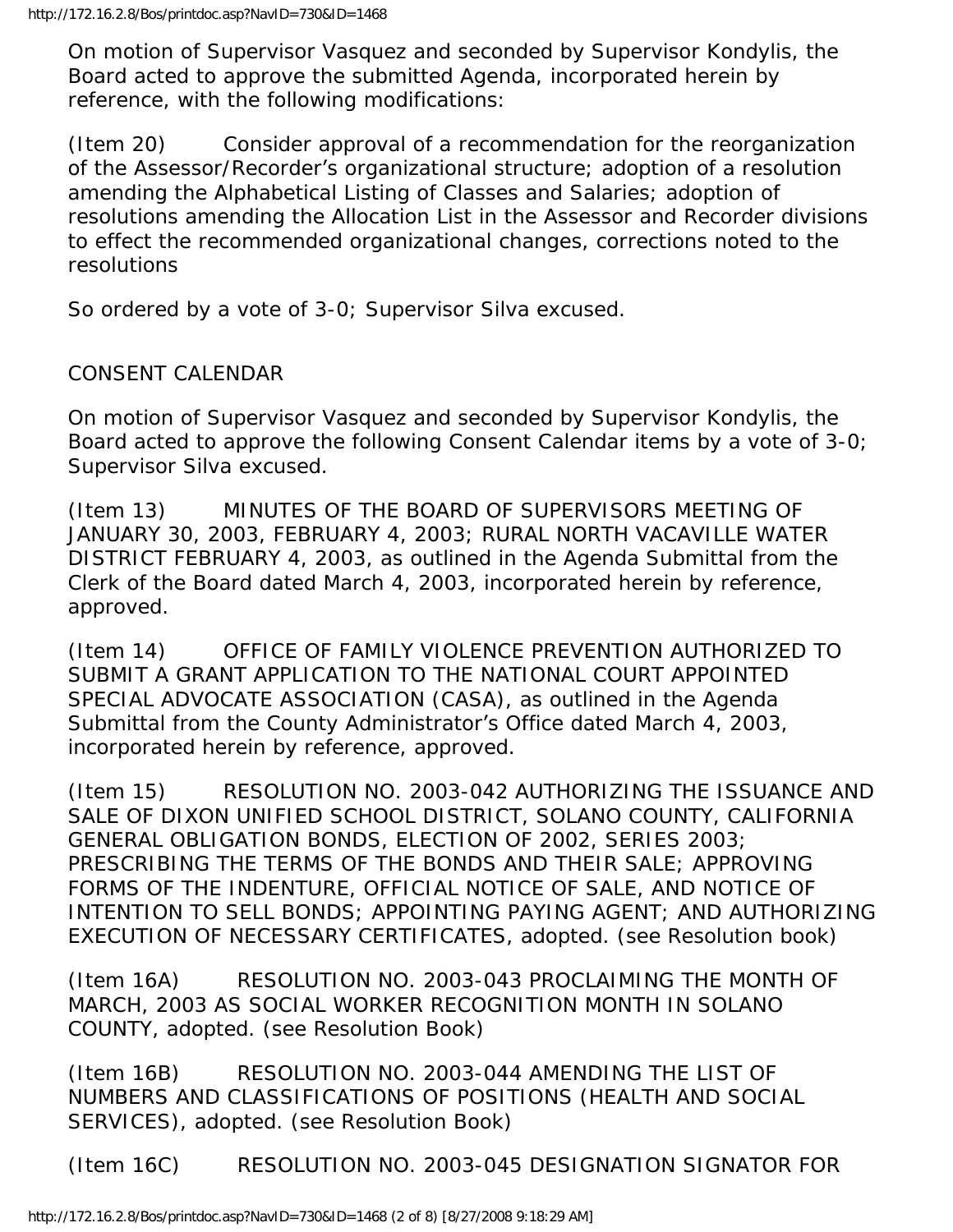On motion of Supervisor Vasquez and seconded by Supervisor Kondylis, the Board acted to approve the submitted Agenda, incorporated herein by reference, with the following modifications:

(Item 20) Consider approval of a recommendation for the reorganization of the Assessor/Recorder's organizational structure; adoption of a resolution amending the Alphabetical Listing of Classes and Salaries; adoption of resolutions amending the Allocation List in the Assessor and Recorder divisions to effect the recommended organizational changes, corrections noted to the resolutions

So ordered by a vote of 3-0; Supervisor Silva excused.

## CONSENT CALENDAR

On motion of Supervisor Vasquez and seconded by Supervisor Kondylis, the Board acted to approve the following Consent Calendar items by a vote of 3-0; Supervisor Silva excused.

(Item 13) MINUTES OF THE BOARD OF SUPERVISORS MEETING OF JANUARY 30, 2003, FEBRUARY 4, 2003; RURAL NORTH VACAVILLE WATER DISTRICT FEBRUARY 4, 2003, as outlined in the Agenda Submittal from the Clerk of the Board dated March 4, 2003, incorporated herein by reference, approved.

(Item 14) OFFICE OF FAMILY VIOLENCE PREVENTION AUTHORIZED TO SUBMIT A GRANT APPLICATION TO THE NATIONAL COURT APPOINTED SPECIAL ADVOCATE ASSOCIATION (CASA), as outlined in the Agenda Submittal from the County Administrator's Office dated March 4, 2003, incorporated herein by reference, approved.

(Item 15) RESOLUTION NO. 2003-042 AUTHORIZING THE ISSUANCE AND SALE OF DIXON UNIFIED SCHOOL DISTRICT, SOLANO COUNTY, CALIFORNIA GENERAL OBLIGATION BONDS, ELECTION OF 2002, SERIES 2003; PRESCRIBING THE TERMS OF THE BONDS AND THEIR SALE; APPROVING FORMS OF THE INDENTURE, OFFICIAL NOTICE OF SALE, AND NOTICE OF INTENTION TO SELL BONDS; APPOINTING PAYING AGENT; AND AUTHORIZING EXECUTION OF NECESSARY CERTIFICATES, adopted. (see Resolution book)

(Item 16A) RESOLUTION NO. 2003-043 PROCLAIMING THE MONTH OF MARCH, 2003 AS SOCIAL WORKER RECOGNITION MONTH IN SOLANO COUNTY, adopted. (see Resolution Book)

(Item 16B) RESOLUTION NO. 2003-044 AMENDING THE LIST OF NUMBERS AND CLASSIFICATIONS OF POSITIONS (HEALTH AND SOCIAL SERVICES), adopted. (see Resolution Book)

(Item 16C) RESOLUTION NO. 2003-045 DESIGNATION SIGNATOR FOR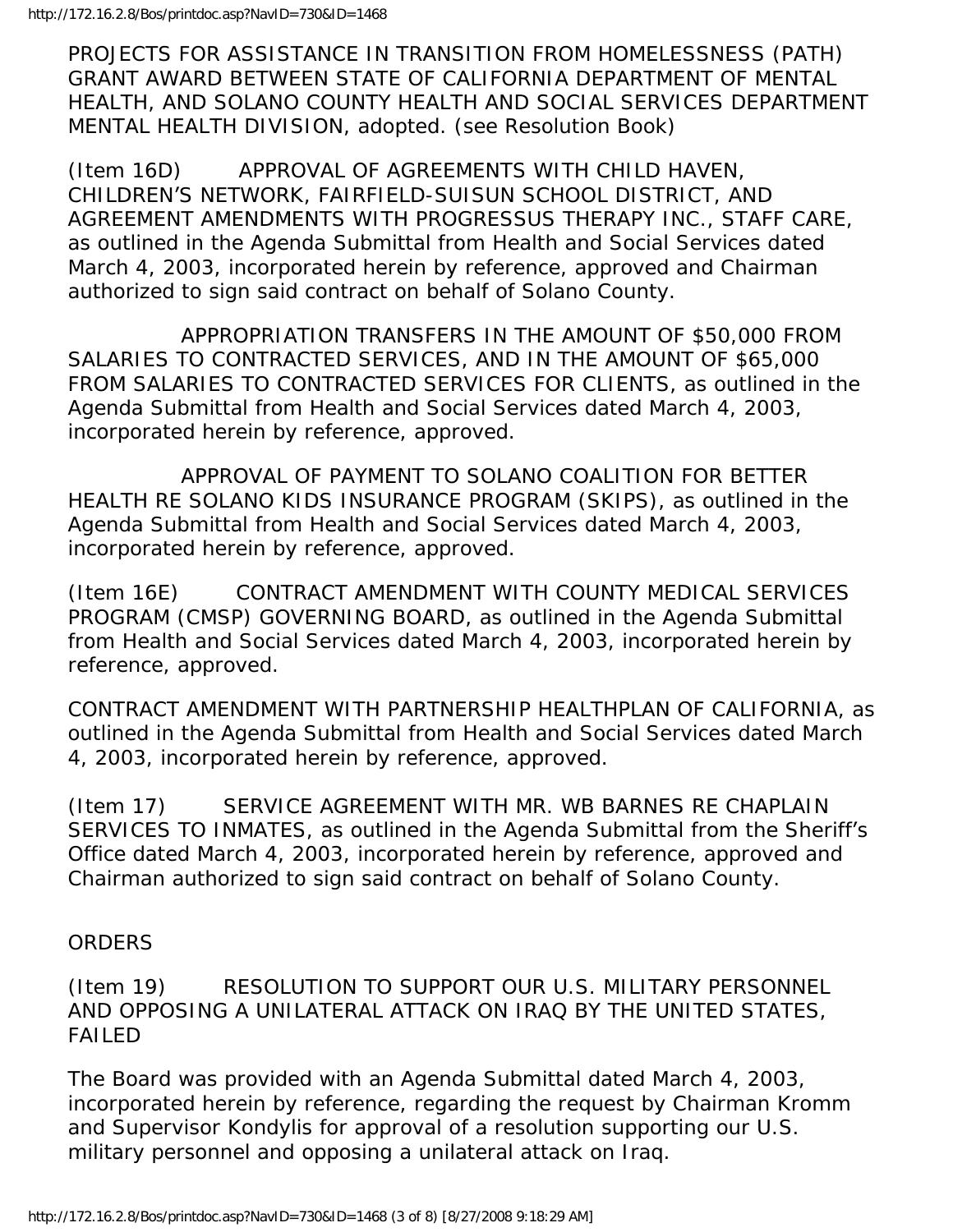PROJECTS FOR ASSISTANCE IN TRANSITION FROM HOMELESSNESS (PATH) GRANT AWARD BETWEEN STATE OF CALIFORNIA DEPARTMENT OF MENTAL HEALTH, AND SOLANO COUNTY HEALTH AND SOCIAL SERVICES DEPARTMENT MENTAL HEALTH DIVISION, adopted. (see Resolution Book)

(Item 16D) APPROVAL OF AGREEMENTS WITH CHILD HAVEN, CHILDREN'S NETWORK, FAIRFIELD-SUISUN SCHOOL DISTRICT, AND AGREEMENT AMENDMENTS WITH PROGRESSUS THERAPY INC., STAFF CARE, as outlined in the Agenda Submittal from Health and Social Services dated March 4, 2003, incorporated herein by reference, approved and Chairman authorized to sign said contract on behalf of Solano County.

 APPROPRIATION TRANSFERS IN THE AMOUNT OF \$50,000 FROM SALARIES TO CONTRACTED SERVICES, AND IN THE AMOUNT OF \$65,000 FROM SALARIES TO CONTRACTED SERVICES FOR CLIENTS, as outlined in the Agenda Submittal from Health and Social Services dated March 4, 2003, incorporated herein by reference, approved.

 APPROVAL OF PAYMENT TO SOLANO COALITION FOR BETTER HEALTH RE SOLANO KIDS INSURANCE PROGRAM (SKIPS), as outlined in the Agenda Submittal from Health and Social Services dated March 4, 2003, incorporated herein by reference, approved.

(Item 16E) CONTRACT AMENDMENT WITH COUNTY MEDICAL SERVICES PROGRAM (CMSP) GOVERNING BOARD, as outlined in the Agenda Submittal from Health and Social Services dated March 4, 2003, incorporated herein by reference, approved.

CONTRACT AMENDMENT WITH PARTNERSHIP HEALTHPLAN OF CALIFORNIA, as outlined in the Agenda Submittal from Health and Social Services dated March 4, 2003, incorporated herein by reference, approved.

(Item 17) SERVICE AGREEMENT WITH MR. WB BARNES RE CHAPLAIN SERVICES TO INMATES, as outlined in the Agenda Submittal from the Sheriff's Office dated March 4, 2003, incorporated herein by reference, approved and Chairman authorized to sign said contract on behalf of Solano County.

## **ORDERS**

(Item 19) RESOLUTION TO SUPPORT OUR U.S. MILITARY PERSONNEL AND OPPOSING A UNILATERAL ATTACK ON IRAQ BY THE UNITED STATES, FAILED

The Board was provided with an Agenda Submittal dated March 4, 2003, incorporated herein by reference, regarding the request by Chairman Kromm and Supervisor Kondylis for approval of a resolution supporting our U.S. military personnel and opposing a unilateral attack on Iraq.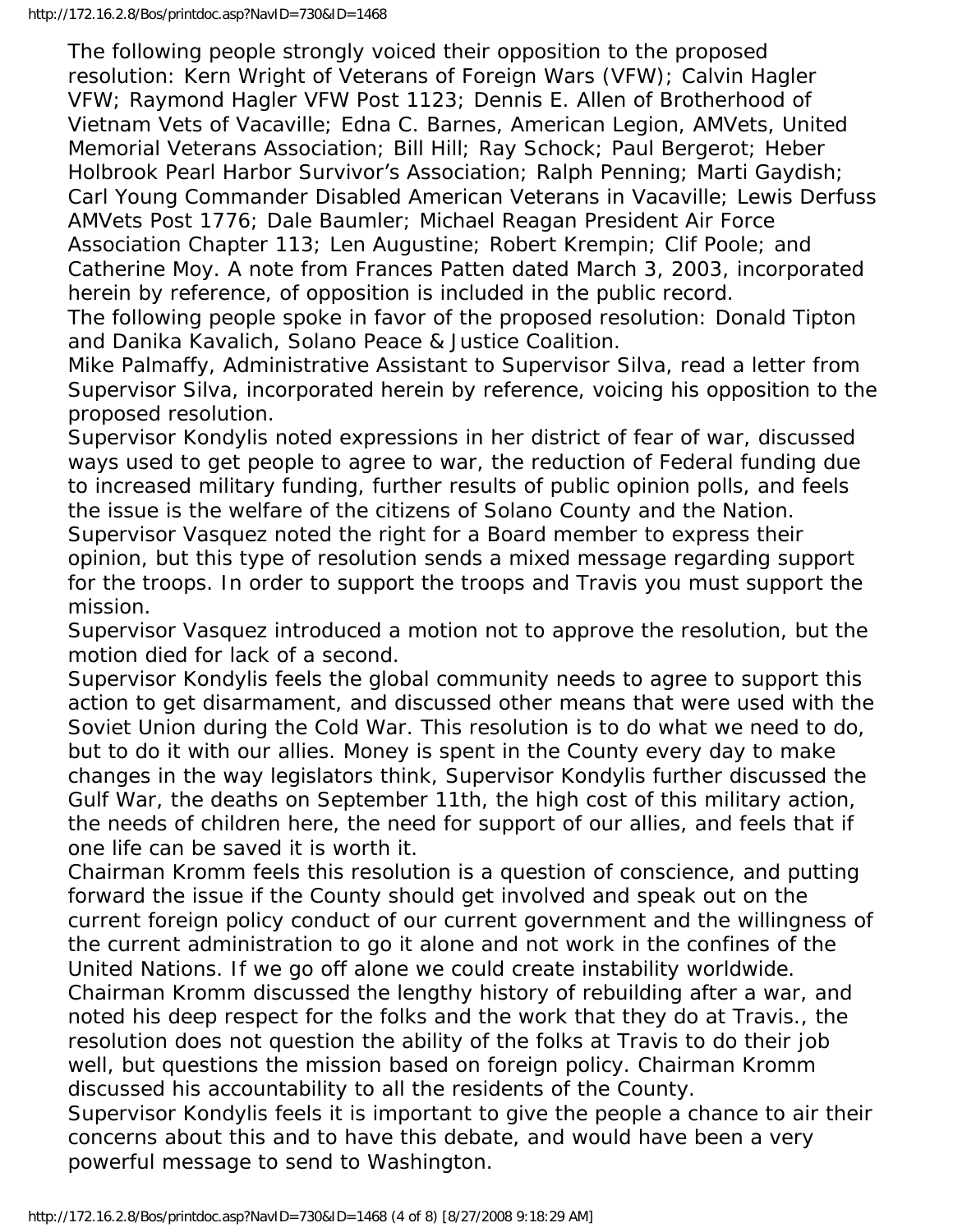The following people strongly voiced their opposition to the proposed resolution: Kern Wright of Veterans of Foreign Wars (VFW); Calvin Hagler VFW; Raymond Hagler VFW Post 1123; Dennis E. Allen of Brotherhood of Vietnam Vets of Vacaville; Edna C. Barnes, American Legion, AMVets, United Memorial Veterans Association; Bill Hill; Ray Schock; Paul Bergerot; Heber Holbrook Pearl Harbor Survivor's Association; Ralph Penning; Marti Gaydish; Carl Young Commander Disabled American Veterans in Vacaville; Lewis Derfuss AMVets Post 1776; Dale Baumler; Michael Reagan President Air Force Association Chapter 113; Len Augustine; Robert Krempin; Clif Poole; and Catherine Moy. A note from Frances Patten dated March 3, 2003, incorporated herein by reference, of opposition is included in the public record.

The following people spoke in favor of the proposed resolution: Donald Tipton and Danika Kavalich, Solano Peace & Justice Coalition.

Mike Palmaffy, Administrative Assistant to Supervisor Silva, read a letter from Supervisor Silva, incorporated herein by reference, voicing his opposition to the proposed resolution.

Supervisor Kondylis noted expressions in her district of fear of war, discussed ways used to get people to agree to war, the reduction of Federal funding due to increased military funding, further results of public opinion polls, and feels the issue is the welfare of the citizens of Solano County and the Nation.

Supervisor Vasquez noted the right for a Board member to express their opinion, but this type of resolution sends a mixed message regarding support for the troops. In order to support the troops and Travis you must support the mission.

Supervisor Vasquez introduced a motion not to approve the resolution, but the motion died for lack of a second.

Supervisor Kondylis feels the global community needs to agree to support this action to get disarmament, and discussed other means that were used with the Soviet Union during the Cold War. This resolution is to do what we need to do, but to do it with our allies. Money is spent in the County every day to make changes in the way legislators think, Supervisor Kondylis further discussed the Gulf War, the deaths on September 11th, the high cost of this military action, the needs of children here, the need for support of our allies, and feels that if one life can be saved it is worth it.

Chairman Kromm feels this resolution is a question of conscience, and putting forward the issue if the County should get involved and speak out on the current foreign policy conduct of our current government and the willingness of the current administration to go it alone and not work in the confines of the United Nations. If we go off alone we could create instability worldwide.

Chairman Kromm discussed the lengthy history of rebuilding after a war, and noted his deep respect for the folks and the work that they do at Travis., the resolution does not question the ability of the folks at Travis to do their job well, but questions the mission based on foreign policy. Chairman Kromm discussed his accountability to all the residents of the County.

Supervisor Kondylis feels it is important to give the people a chance to air their concerns about this and to have this debate, and would have been a very powerful message to send to Washington.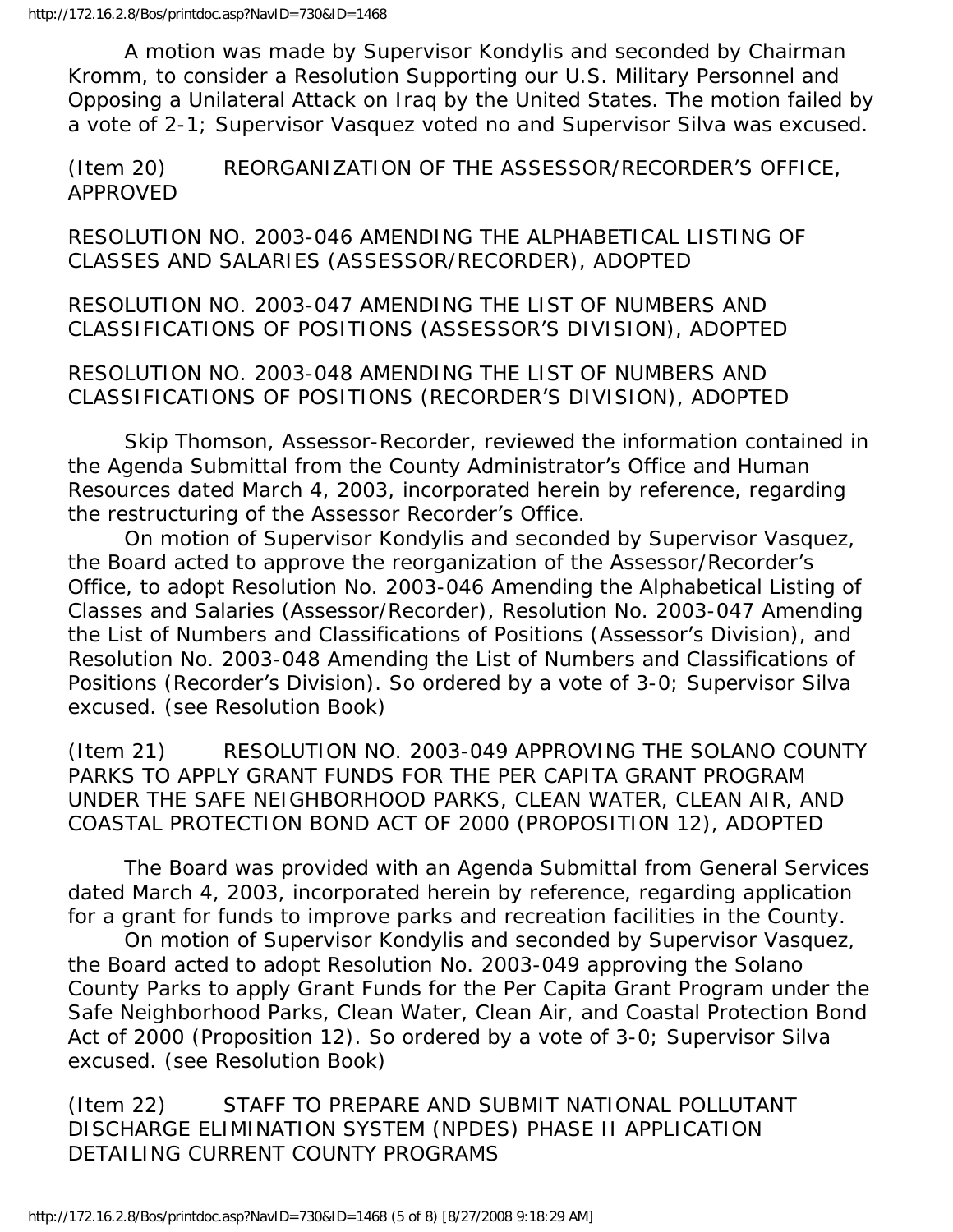A motion was made by Supervisor Kondylis and seconded by Chairman Kromm, to consider a Resolution Supporting our U.S. Military Personnel and Opposing a Unilateral Attack on Iraq by the United States. The motion failed by a vote of 2-1; Supervisor Vasquez voted no and Supervisor Silva was excused.

(Item 20) REORGANIZATION OF THE ASSESSOR/RECORDER'S OFFICE, APPROVED

RESOLUTION NO. 2003-046 AMENDING THE ALPHABETICAL LISTING OF CLASSES AND SALARIES (ASSESSOR/RECORDER), ADOPTED

RESOLUTION NO. 2003-047 AMENDING THE LIST OF NUMBERS AND CLASSIFICATIONS OF POSITIONS (ASSESSOR'S DIVISION), ADOPTED

RESOLUTION NO. 2003-048 AMENDING THE LIST OF NUMBERS AND CLASSIFICATIONS OF POSITIONS (RECORDER'S DIVISION), ADOPTED

 Skip Thomson, Assessor-Recorder, reviewed the information contained in the Agenda Submittal from the County Administrator's Office and Human Resources dated March 4, 2003, incorporated herein by reference, regarding the restructuring of the Assessor Recorder's Office.

 On motion of Supervisor Kondylis and seconded by Supervisor Vasquez, the Board acted to approve the reorganization of the Assessor/Recorder's Office, to adopt Resolution No. 2003-046 Amending the Alphabetical Listing of Classes and Salaries (Assessor/Recorder), Resolution No. 2003-047 Amending the List of Numbers and Classifications of Positions (Assessor's Division), and Resolution No. 2003-048 Amending the List of Numbers and Classifications of Positions (Recorder's Division). So ordered by a vote of 3-0; Supervisor Silva excused. (see Resolution Book)

(Item 21) RESOLUTION NO. 2003-049 APPROVING THE SOLANO COUNTY PARKS TO APPLY GRANT FUNDS FOR THE PER CAPITA GRANT PROGRAM UNDER THE SAFE NEIGHBORHOOD PARKS, CLEAN WATER, CLEAN AIR, AND COASTAL PROTECTION BOND ACT OF 2000 (PROPOSITION 12), ADOPTED

 The Board was provided with an Agenda Submittal from General Services dated March 4, 2003, incorporated herein by reference, regarding application for a grant for funds to improve parks and recreation facilities in the County.

 On motion of Supervisor Kondylis and seconded by Supervisor Vasquez, the Board acted to adopt Resolution No. 2003-049 approving the Solano County Parks to apply Grant Funds for the Per Capita Grant Program under the Safe Neighborhood Parks, Clean Water, Clean Air, and Coastal Protection Bond Act of 2000 (Proposition 12). So ordered by a vote of 3-0; Supervisor Silva excused. (see Resolution Book)

(Item 22) STAFF TO PREPARE AND SUBMIT NATIONAL POLLUTANT DISCHARGE ELIMINATION SYSTEM (NPDES) PHASE II APPLICATION DETAILING CURRENT COUNTY PROGRAMS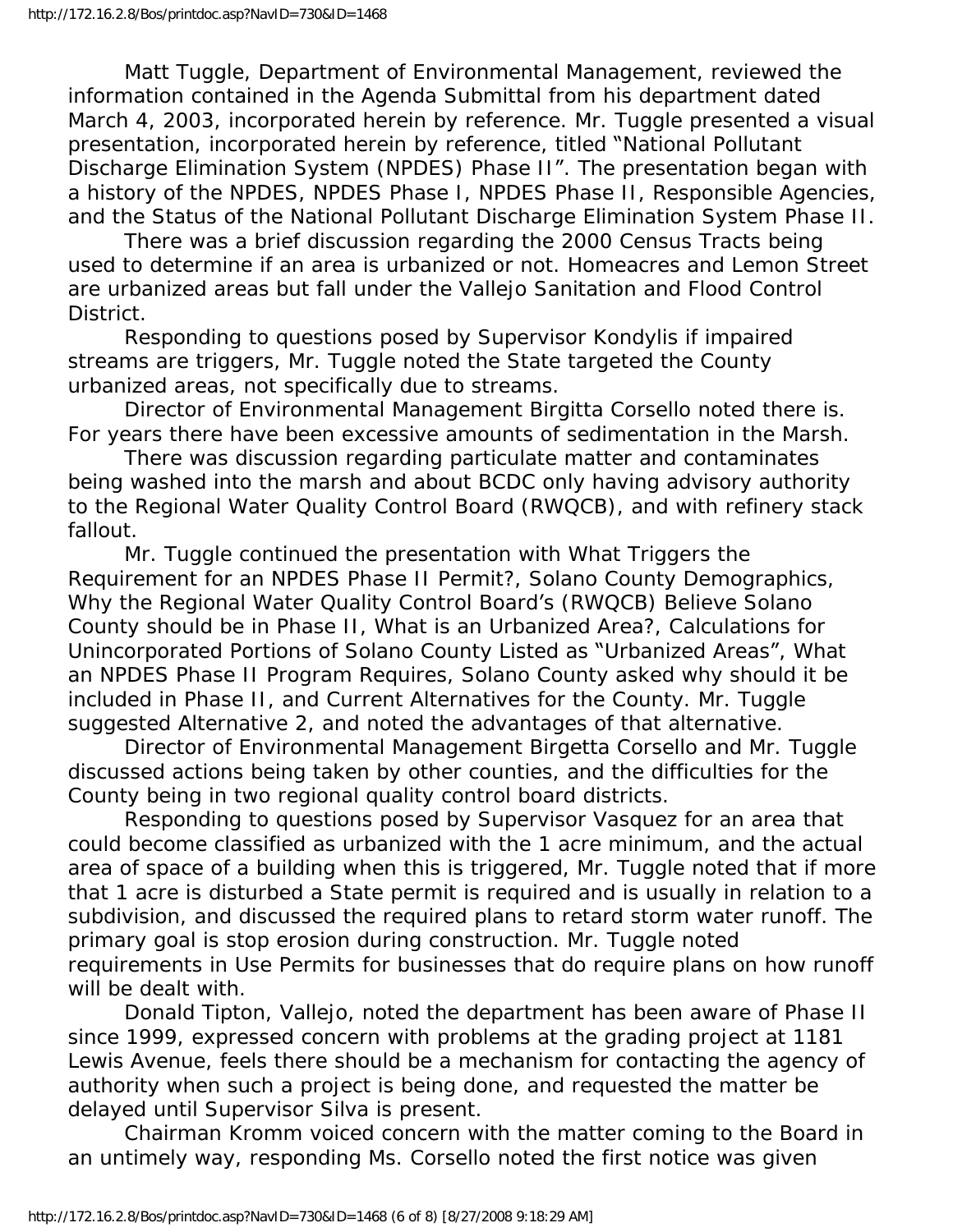Matt Tuggle, Department of Environmental Management, reviewed the information contained in the Agenda Submittal from his department dated March 4, 2003, incorporated herein by reference. Mr. Tuggle presented a visual presentation, incorporated herein by reference, titled "National Pollutant Discharge Elimination System (NPDES) Phase II". The presentation began with a history of the NPDES, NPDES Phase I, NPDES Phase II, Responsible Agencies, and the Status of the National Pollutant Discharge Elimination System Phase II.

 There was a brief discussion regarding the 2000 Census Tracts being used to determine if an area is urbanized or not. Homeacres and Lemon Street are urbanized areas but fall under the Vallejo Sanitation and Flood Control District.

 Responding to questions posed by Supervisor Kondylis if impaired streams are triggers, Mr. Tuggle noted the State targeted the County urbanized areas, not specifically due to streams.

 Director of Environmental Management Birgitta Corsello noted there is. For years there have been excessive amounts of sedimentation in the Marsh.

 There was discussion regarding particulate matter and contaminates being washed into the marsh and about BCDC only having advisory authority to the Regional Water Quality Control Board (RWQCB), and with refinery stack fallout.

 Mr. Tuggle continued the presentation with What Triggers the Requirement for an NPDES Phase II Permit?, Solano County Demographics, Why the Regional Water Quality Control Board's (RWQCB) Believe Solano County should be in Phase II, What is an Urbanized Area?, Calculations for Unincorporated Portions of Solano County Listed as "Urbanized Areas", What an NPDES Phase II Program Requires, Solano County asked why should it be included in Phase II, and Current Alternatives for the County. Mr. Tuggle suggested Alternative 2, and noted the advantages of that alternative.

 Director of Environmental Management Birgetta Corsello and Mr. Tuggle discussed actions being taken by other counties, and the difficulties for the County being in two regional quality control board districts.

 Responding to questions posed by Supervisor Vasquez for an area that could become classified as urbanized with the 1 acre minimum, and the actual area of space of a building when this is triggered, Mr. Tuggle noted that if more that 1 acre is disturbed a State permit is required and is usually in relation to a subdivision, and discussed the required plans to retard storm water runoff. The primary goal is stop erosion during construction. Mr. Tuggle noted requirements in Use Permits for businesses that do require plans on how runoff will be dealt with.

 Donald Tipton, Vallejo, noted the department has been aware of Phase II since 1999, expressed concern with problems at the grading project at 1181 Lewis Avenue, feels there should be a mechanism for contacting the agency of authority when such a project is being done, and requested the matter be delayed until Supervisor Silva is present.

 Chairman Kromm voiced concern with the matter coming to the Board in an untimely way, responding Ms. Corsello noted the first notice was given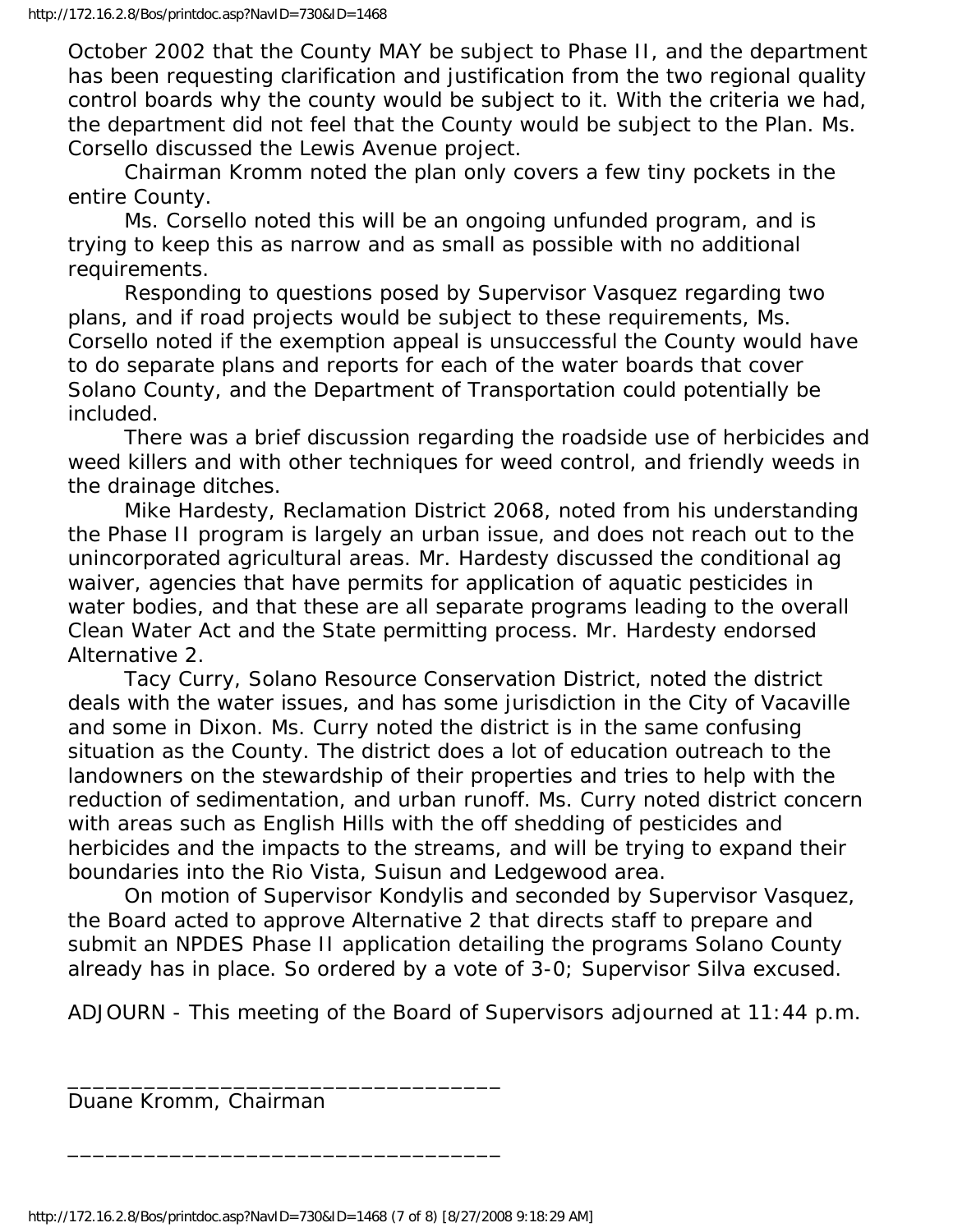October 2002 that the County MAY be subject to Phase II, and the department has been requesting clarification and justification from the two regional quality control boards why the county would be subject to it. With the criteria we had, the department did not feel that the County would be subject to the Plan. Ms. Corsello discussed the Lewis Avenue project.

 Chairman Kromm noted the plan only covers a few tiny pockets in the entire County.

 Ms. Corsello noted this will be an ongoing unfunded program, and is trying to keep this as narrow and as small as possible with no additional requirements.

 Responding to questions posed by Supervisor Vasquez regarding two plans, and if road projects would be subject to these requirements, Ms. Corsello noted if the exemption appeal is unsuccessful the County would have to do separate plans and reports for each of the water boards that cover Solano County, and the Department of Transportation could potentially be included.

 There was a brief discussion regarding the roadside use of herbicides and weed killers and with other techniques for weed control, and friendly weeds in the drainage ditches.

 Mike Hardesty, Reclamation District 2068, noted from his understanding the Phase II program is largely an urban issue, and does not reach out to the unincorporated agricultural areas. Mr. Hardesty discussed the conditional ag waiver, agencies that have permits for application of aquatic pesticides in water bodies, and that these are all separate programs leading to the overall Clean Water Act and the State permitting process. Mr. Hardesty endorsed Alternative 2.

 Tacy Curry, Solano Resource Conservation District, noted the district deals with the water issues, and has some jurisdiction in the City of Vacaville and some in Dixon. Ms. Curry noted the district is in the same confusing situation as the County. The district does a lot of education outreach to the landowners on the stewardship of their properties and tries to help with the reduction of sedimentation, and urban runoff. Ms. Curry noted district concern with areas such as English Hills with the off shedding of pesticides and herbicides and the impacts to the streams, and will be trying to expand their boundaries into the Rio Vista, Suisun and Ledgewood area.

 On motion of Supervisor Kondylis and seconded by Supervisor Vasquez, the Board acted to approve Alternative 2 that directs staff to prepare and submit an NPDES Phase II application detailing the programs Solano County already has in place. So ordered by a vote of 3-0; Supervisor Silva excused.

ADJOURN - This meeting of the Board of Supervisors adjourned at 11:44 p.m.

Duane Kromm, Chairman

http://172.16.2.8/Bos/printdoc.asp?NavID=730&ID=1468 (7 of 8) [8/27/2008 9:18:29 AM]

\_\_\_\_\_\_\_\_\_\_\_\_\_\_\_\_\_\_\_\_\_\_\_\_\_\_\_\_\_\_\_\_\_\_

\_\_\_\_\_\_\_\_\_\_\_\_\_\_\_\_\_\_\_\_\_\_\_\_\_\_\_\_\_\_\_\_\_\_